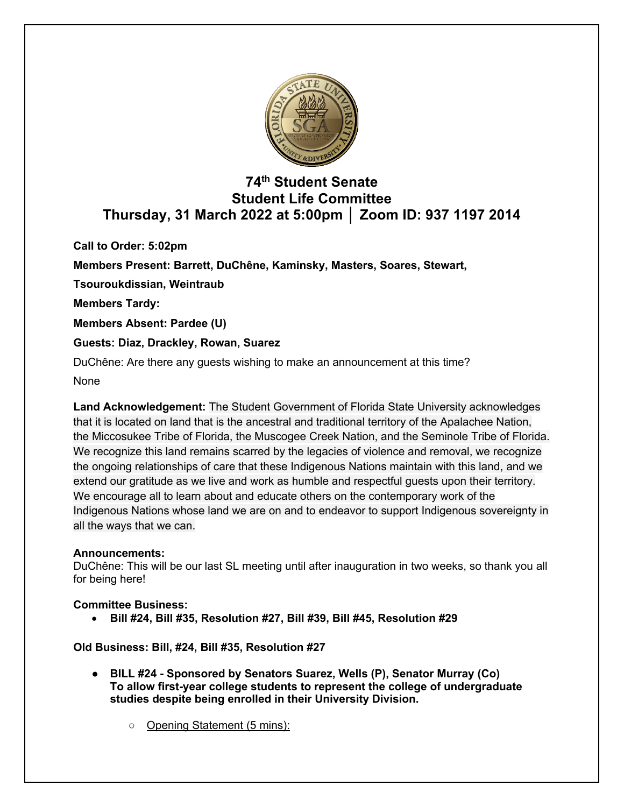

# **74th Student Senate Student Life Committee Thursday, 31 March 2022 at 5:00pm │ Zoom ID: 937 1197 2014**

**Call to Order: 5:02pm**

**Members Present: Barrett, DuChêne, Kaminsky, Masters, Soares, Stewart,** 

**Tsouroukdissian, Weintraub**

**Members Tardy:**

**Members Absent: Pardee (U)**

# **Guests: Diaz, Drackley, Rowan, Suarez**

DuChêne: Are there any guests wishing to make an announcement at this time?

None

**Land Acknowledgement:** The Student Government of Florida State University acknowledges that it is located on land that is the ancestral and traditional territory of the Apalachee Nation, the Miccosukee Tribe of Florida, the Muscogee Creek Nation, and the Seminole Tribe of Florida. We recognize this land remains scarred by the legacies of violence and removal, we recognize the ongoing relationships of care that these Indigenous Nations maintain with this land, and we extend our gratitude as we live and work as humble and respectful guests upon their territory. We encourage all to learn about and educate others on the contemporary work of the Indigenous Nations whose land we are on and to endeavor to support Indigenous sovereignty in all the ways that we can.

# **Announcements:**

DuChêne: This will be our last SL meeting until after inauguration in two weeks, so thank you all for being here!

# **Committee Business:**

• **Bill #24, Bill #35, Resolution #27, Bill #39, Bill #45, Resolution #29**

# **Old Business: Bill, #24, Bill #35, Resolution #27**

- **BILL #24 - Sponsored by Senators Suarez, Wells (P), Senator Murray (Co) To allow first-year college students to represent the college of undergraduate studies despite being enrolled in their University Division.**
	- Opening Statement (5 mins):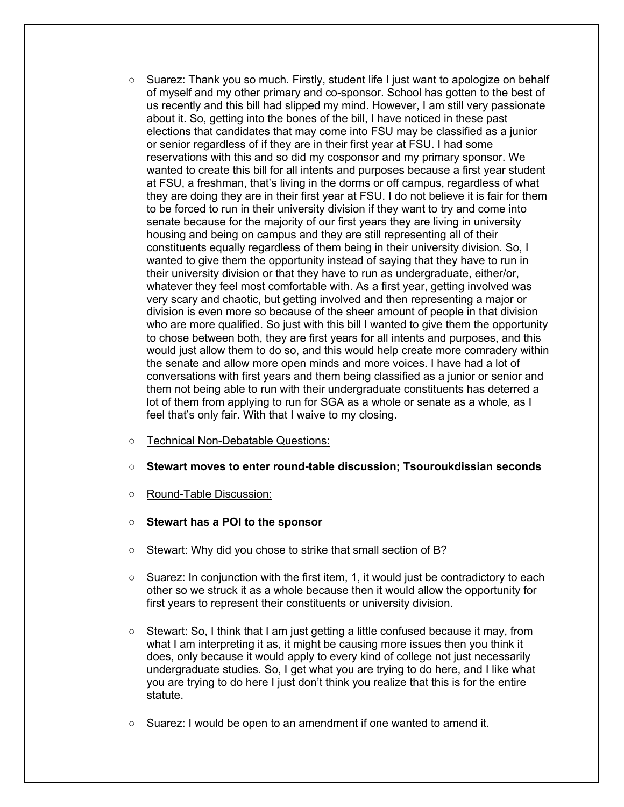- Suarez: Thank you so much. Firstly, student life I just want to apologize on behalf of myself and my other primary and co-sponsor. School has gotten to the best of us recently and this bill had slipped my mind. However, I am still very passionate about it. So, getting into the bones of the bill, I have noticed in these past elections that candidates that may come into FSU may be classified as a junior or senior regardless of if they are in their first year at FSU. I had some reservations with this and so did my cosponsor and my primary sponsor. We wanted to create this bill for all intents and purposes because a first year student at FSU, a freshman, that's living in the dorms or off campus, regardless of what they are doing they are in their first year at FSU. I do not believe it is fair for them to be forced to run in their university division if they want to try and come into senate because for the majority of our first years they are living in university housing and being on campus and they are still representing all of their constituents equally regardless of them being in their university division. So, I wanted to give them the opportunity instead of saying that they have to run in their university division or that they have to run as undergraduate, either/or, whatever they feel most comfortable with. As a first year, getting involved was very scary and chaotic, but getting involved and then representing a major or division is even more so because of the sheer amount of people in that division who are more qualified. So just with this bill I wanted to give them the opportunity to chose between both, they are first years for all intents and purposes, and this would just allow them to do so, and this would help create more comradery within the senate and allow more open minds and more voices. I have had a lot of conversations with first years and them being classified as a junior or senior and them not being able to run with their undergraduate constituents has deterred a lot of them from applying to run for SGA as a whole or senate as a whole, as I feel that's only fair. With that I waive to my closing.
- Technical Non-Debatable Questions:
- **Stewart moves to enter round-table discussion; Tsouroukdissian seconds**
- Round-Table Discussion:
- **Stewart has a POI to the sponsor**
- Stewart: Why did you chose to strike that small section of B?
- Suarez: In conjunction with the first item, 1, it would just be contradictory to each other so we struck it as a whole because then it would allow the opportunity for first years to represent their constituents or university division.
- Stewart: So, I think that I am just getting a little confused because it may, from what I am interpreting it as, it might be causing more issues then you think it does, only because it would apply to every kind of college not just necessarily undergraduate studies. So, I get what you are trying to do here, and I like what you are trying to do here I just don't think you realize that this is for the entire statute.
- $\circ$  Suarez: I would be open to an amendment if one wanted to amend it.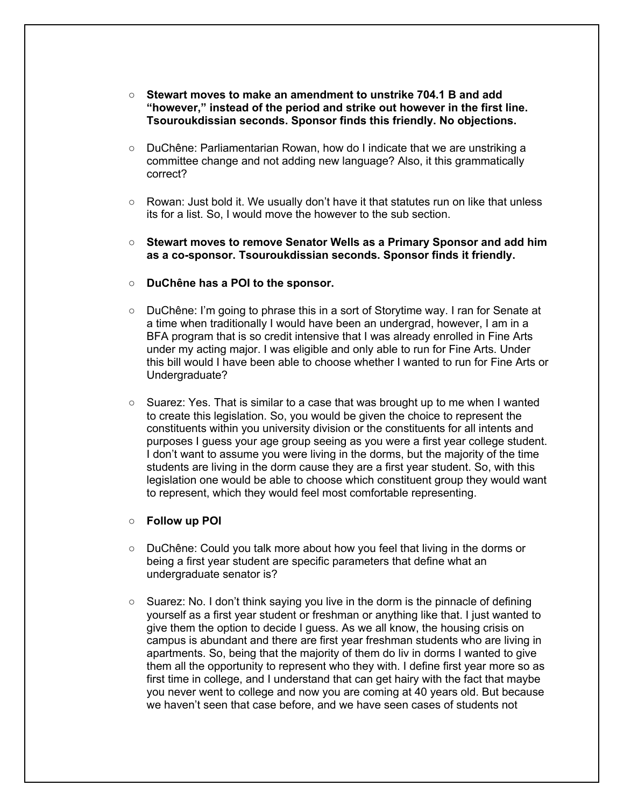- **Stewart moves to make an amendment to unstrike 704.1 B and add "however," instead of the period and strike out however in the first line. Tsouroukdissian seconds. Sponsor finds this friendly. No objections.**
- DuChêne: Parliamentarian Rowan, how do I indicate that we are unstriking a committee change and not adding new language? Also, it this grammatically correct?
- Rowan: Just bold it. We usually don't have it that statutes run on like that unless its for a list. So, I would move the however to the sub section.
- **Stewart moves to remove Senator Wells as a Primary Sponsor and add him as a co-sponsor. Tsouroukdissian seconds. Sponsor finds it friendly.**
- **DuChêne has a POI to the sponsor.**
- DuChêne: I'm going to phrase this in a sort of Storytime way. I ran for Senate at a time when traditionally I would have been an undergrad, however, I am in a BFA program that is so credit intensive that I was already enrolled in Fine Arts under my acting major. I was eligible and only able to run for Fine Arts. Under this bill would I have been able to choose whether I wanted to run for Fine Arts or Undergraduate?
- Suarez: Yes. That is similar to a case that was brought up to me when I wanted to create this legislation. So, you would be given the choice to represent the constituents within you university division or the constituents for all intents and purposes I guess your age group seeing as you were a first year college student. I don't want to assume you were living in the dorms, but the majority of the time students are living in the dorm cause they are a first year student. So, with this legislation one would be able to choose which constituent group they would want to represent, which they would feel most comfortable representing.

#### ○ **Follow up POI**

- DuChêne: Could you talk more about how you feel that living in the dorms or being a first year student are specific parameters that define what an undergraduate senator is?
- $\circ$  Suarez: No. I don't think saying you live in the dorm is the pinnacle of defining yourself as a first year student or freshman or anything like that. I just wanted to give them the option to decide I guess. As we all know, the housing crisis on campus is abundant and there are first year freshman students who are living in apartments. So, being that the majority of them do liv in dorms I wanted to give them all the opportunity to represent who they with. I define first year more so as first time in college, and I understand that can get hairy with the fact that maybe you never went to college and now you are coming at 40 years old. But because we haven't seen that case before, and we have seen cases of students not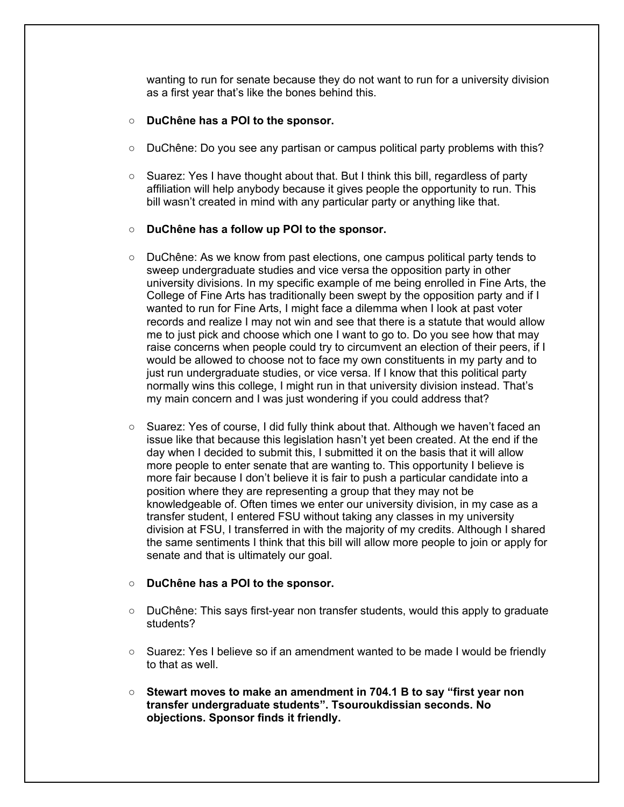wanting to run for senate because they do not want to run for a university division as a first year that's like the bones behind this.

- **DuChêne has a POI to the sponsor.**
- DuChêne: Do you see any partisan or campus political party problems with this?
- Suarez: Yes I have thought about that. But I think this bill, regardless of party affiliation will help anybody because it gives people the opportunity to run. This bill wasn't created in mind with any particular party or anything like that.

### ○ **DuChêne has a follow up POI to the sponsor.**

- DuChêne: As we know from past elections, one campus political party tends to sweep undergraduate studies and vice versa the opposition party in other university divisions. In my specific example of me being enrolled in Fine Arts, the College of Fine Arts has traditionally been swept by the opposition party and if I wanted to run for Fine Arts, I might face a dilemma when I look at past voter records and realize I may not win and see that there is a statute that would allow me to just pick and choose which one I want to go to. Do you see how that may raise concerns when people could try to circumvent an election of their peers, if I would be allowed to choose not to face my own constituents in my party and to just run undergraduate studies, or vice versa. If I know that this political party normally wins this college, I might run in that university division instead. That's my main concern and I was just wondering if you could address that?
- Suarez: Yes of course, I did fully think about that. Although we haven't faced an issue like that because this legislation hasn't yet been created. At the end if the day when I decided to submit this, I submitted it on the basis that it will allow more people to enter senate that are wanting to. This opportunity I believe is more fair because I don't believe it is fair to push a particular candidate into a position where they are representing a group that they may not be knowledgeable of. Often times we enter our university division, in my case as a transfer student, I entered FSU without taking any classes in my university division at FSU, I transferred in with the majority of my credits. Although I shared the same sentiments I think that this bill will allow more people to join or apply for senate and that is ultimately our goal.

#### ○ **DuChêne has a POI to the sponsor.**

- DuChêne: This says first-year non transfer students, would this apply to graduate students?
- Suarez: Yes I believe so if an amendment wanted to be made I would be friendly to that as well.
- **Stewart moves to make an amendment in 704.1 B to say "first year non transfer undergraduate students". Tsouroukdissian seconds. No objections. Sponsor finds it friendly.**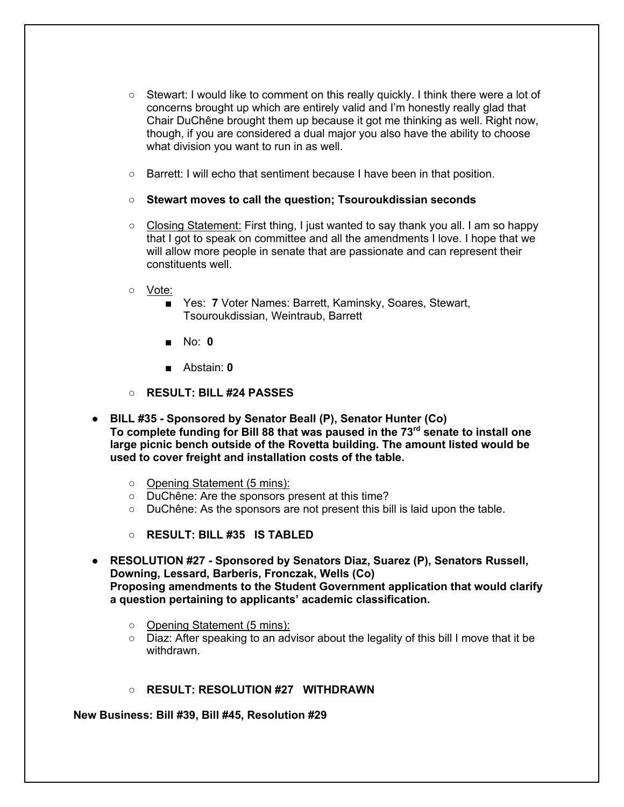- Stewart: I would like to comment on this really quickly. I think there were a lot of concerns brought up which are entirely valid and I'm honestly really glad that Chair DuChêne brought them up because it got me thinking as well. Right now, though, if you are considered a dual major you also have the ability to choose what division you want to run in as well.
- Barrett: I will echo that sentiment because I have been in that position.
- **Stewart moves to call the question; Tsouroukdissian seconds**
- Closing Statement: First thing, I just wanted to say thank you all. I am so happy that I got to speak on committee and all the amendments I love. I hope that we will allow more people in senate that are passionate and can represent their constituents well.
- Vote:
	- Yes: **7** Voter Names: Barrett, Kaminsky, Soares, Stewart, Tsouroukdissian, Weintraub, Barrett
	- No: **0**
	- Abstain: **0**
- **RESULT: BILL #24 PASSES**
- **BILL #35 - Sponsored by Senator Beall (P), Senator Hunter (Co) To complete funding for Bill 88 that was paused in the 73rd senate to install one large picnic bench outside of the Rovetta building. The amount listed would be used to cover freight and installation costs of the table.** 
	- Opening Statement (5 mins):
	- DuChêne: Are the sponsors present at this time?
	- DuChêne: As the sponsors are not present this bill is laid upon the table.
	- **RESULT: BILL #35 IS TABLED**
- **RESOLUTION #27 - Sponsored by Senators Diaz, Suarez (P), Senators Russell, Downing, Lessard, Barberis, Fronczak, Wells (Co) Proposing amendments to the Student Government application that would clarify a question pertaining to applicants' academic classification.**
	- Opening Statement (5 mins):
	- $\circ$  Diaz: After speaking to an advisor about the legality of this bill I move that it be withdrawn.
	- **RESULT: RESOLUTION #27 WITHDRAWN**

**New Business: Bill #39, Bill #45, Resolution #29**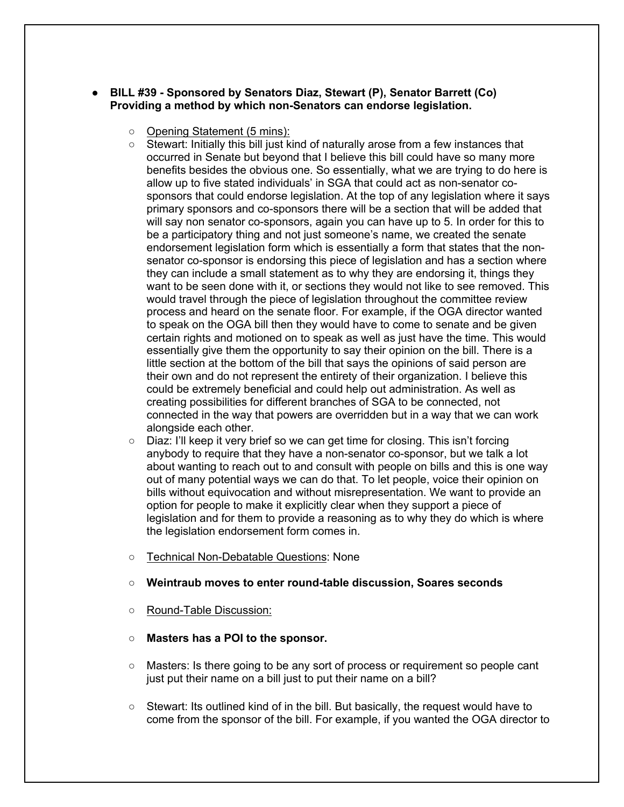### ● **BILL #39 - Sponsored by Senators Diaz, Stewart (P), Senator Barrett (Co) Providing a method by which non-Senators can endorse legislation.**

- Opening Statement (5 mins):
- Stewart: Initially this bill just kind of naturally arose from a few instances that occurred in Senate but beyond that I believe this bill could have so many more benefits besides the obvious one. So essentially, what we are trying to do here is allow up to five stated individuals' in SGA that could act as non-senator cosponsors that could endorse legislation. At the top of any legislation where it says primary sponsors and co-sponsors there will be a section that will be added that will say non senator co-sponsors, again you can have up to 5. In order for this to be a participatory thing and not just someone's name, we created the senate endorsement legislation form which is essentially a form that states that the nonsenator co-sponsor is endorsing this piece of legislation and has a section where they can include a small statement as to why they are endorsing it, things they want to be seen done with it, or sections they would not like to see removed. This would travel through the piece of legislation throughout the committee review process and heard on the senate floor. For example, if the OGA director wanted to speak on the OGA bill then they would have to come to senate and be given certain rights and motioned on to speak as well as just have the time. This would essentially give them the opportunity to say their opinion on the bill. There is a little section at the bottom of the bill that says the opinions of said person are their own and do not represent the entirety of their organization. I believe this could be extremely beneficial and could help out administration. As well as creating possibilities for different branches of SGA to be connected, not connected in the way that powers are overridden but in a way that we can work alongside each other.
- Diaz: I'll keep it very brief so we can get time for closing. This isn't forcing anybody to require that they have a non-senator co-sponsor, but we talk a lot about wanting to reach out to and consult with people on bills and this is one way out of many potential ways we can do that. To let people, voice their opinion on bills without equivocation and without misrepresentation. We want to provide an option for people to make it explicitly clear when they support a piece of legislation and for them to provide a reasoning as to why they do which is where the legislation endorsement form comes in.
- Technical Non-Debatable Questions: None

#### ○ **Weintraub moves to enter round-table discussion, Soares seconds**

- Round-Table Discussion:
- **Masters has a POI to the sponsor.**
- Masters: Is there going to be any sort of process or requirement so people cant just put their name on a bill just to put their name on a bill?
- Stewart: Its outlined kind of in the bill. But basically, the request would have to come from the sponsor of the bill. For example, if you wanted the OGA director to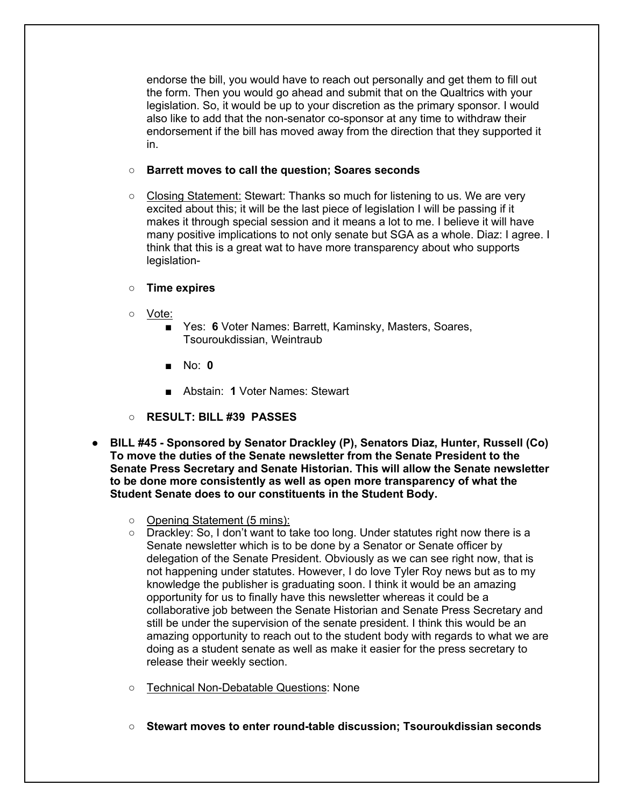endorse the bill, you would have to reach out personally and get them to fill out the form. Then you would go ahead and submit that on the Qualtrics with your legislation. So, it would be up to your discretion as the primary sponsor. I would also like to add that the non-senator co-sponsor at any time to withdraw their endorsement if the bill has moved away from the direction that they supported it in.

### ○ **Barrett moves to call the question; Soares seconds**

- Closing Statement: Stewart: Thanks so much for listening to us. We are very excited about this; it will be the last piece of legislation I will be passing if it makes it through special session and it means a lot to me. I believe it will have many positive implications to not only senate but SGA as a whole. Diaz: I agree. I think that this is a great wat to have more transparency about who supports legislation-
- **Time expires**
- Vote:
	- Yes: 6 Voter Names: Barrett, Kaminsky, Masters, Soares, Tsouroukdissian, Weintraub
	- No: **0**
	- Abstain: **1** Voter Names: Stewart
- **RESULT: BILL #39 PASSES**
- **BILL #45 - Sponsored by Senator Drackley (P), Senators Diaz, Hunter, Russell (Co) To move the duties of the Senate newsletter from the Senate President to the Senate Press Secretary and Senate Historian. This will allow the Senate newsletter to be done more consistently as well as open more transparency of what the Student Senate does to our constituents in the Student Body.**
	- Opening Statement (5 mins):
	- Drackley: So, I don't want to take too long. Under statutes right now there is a Senate newsletter which is to be done by a Senator or Senate officer by delegation of the Senate President. Obviously as we can see right now, that is not happening under statutes. However, I do love Tyler Roy news but as to my knowledge the publisher is graduating soon. I think it would be an amazing opportunity for us to finally have this newsletter whereas it could be a collaborative job between the Senate Historian and Senate Press Secretary and still be under the supervision of the senate president. I think this would be an amazing opportunity to reach out to the student body with regards to what we are doing as a student senate as well as make it easier for the press secretary to release their weekly section.
	- Technical Non-Debatable Questions: None
	- **Stewart moves to enter round-table discussion; Tsouroukdissian seconds**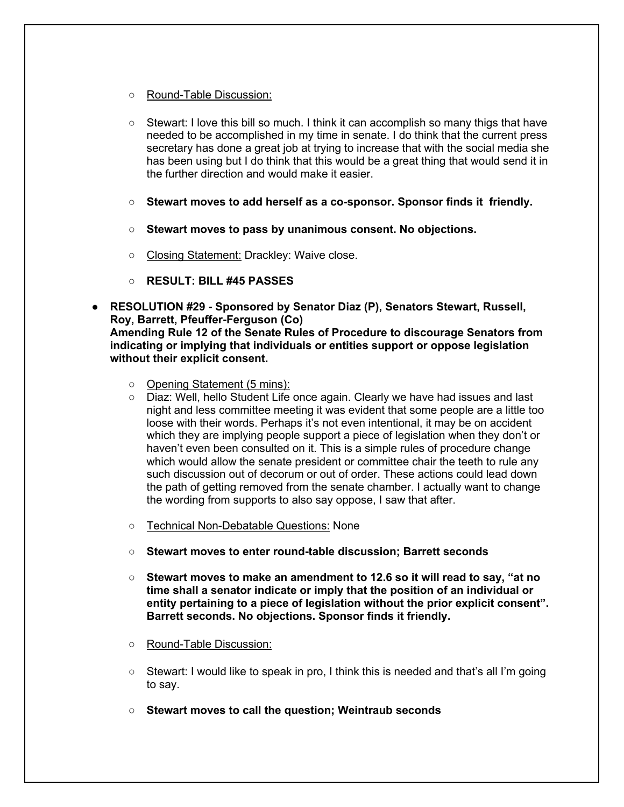- Round-Table Discussion:
- $\circ$  Stewart: I love this bill so much. I think it can accomplish so many thigs that have needed to be accomplished in my time in senate. I do think that the current press secretary has done a great job at trying to increase that with the social media she has been using but I do think that this would be a great thing that would send it in the further direction and would make it easier.
- **Stewart moves to add herself as a co-sponsor. Sponsor finds it friendly.**
- **Stewart moves to pass by unanimous consent. No objections.**
- Closing Statement: Drackley: Waive close.
- **RESULT: BILL #45 PASSES**
- **RESOLUTION #29 - Sponsored by Senator Diaz (P), Senators Stewart, Russell, Roy, Barrett, Pfeuffer-Ferguson (Co) Amending Rule 12 of the Senate Rules of Procedure to discourage Senators from indicating or implying that individuals or entities support or oppose legislation without their explicit consent.**
	- Opening Statement (5 mins):
	- Diaz: Well, hello Student Life once again. Clearly we have had issues and last night and less committee meeting it was evident that some people are a little too loose with their words. Perhaps it's not even intentional, it may be on accident which they are implying people support a piece of legislation when they don't or haven't even been consulted on it. This is a simple rules of procedure change which would allow the senate president or committee chair the teeth to rule any such discussion out of decorum or out of order. These actions could lead down the path of getting removed from the senate chamber. I actually want to change the wording from supports to also say oppose, I saw that after.
	- Technical Non-Debatable Questions: None
	- **Stewart moves to enter round-table discussion; Barrett seconds**
	- **Stewart moves to make an amendment to 12.6 so it will read to say, "at no time shall a senator indicate or imply that the position of an individual or entity pertaining to a piece of legislation without the prior explicit consent". Barrett seconds. No objections. Sponsor finds it friendly.**
	- Round-Table Discussion:
	- $\circ$  Stewart: I would like to speak in pro, I think this is needed and that's all I'm going to say.
	- **Stewart moves to call the question; Weintraub seconds**